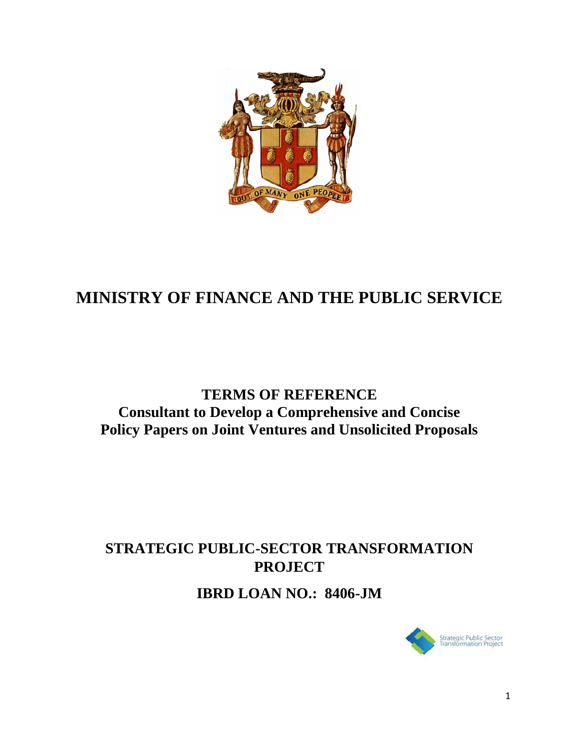

## **MINISTRY OF FINANCE AND THE PUBLIC SERVICE**

## **TERMS OF REFERENCE Consultant to Develop a Comprehensive and Concise Policy Papers on Joint Ventures and Unsolicited Proposals**

# **STRATEGIC PUBLIC-SECTOR TRANSFORMATION PROJECT**

**IBRD LOAN NO.: 8406-JM**

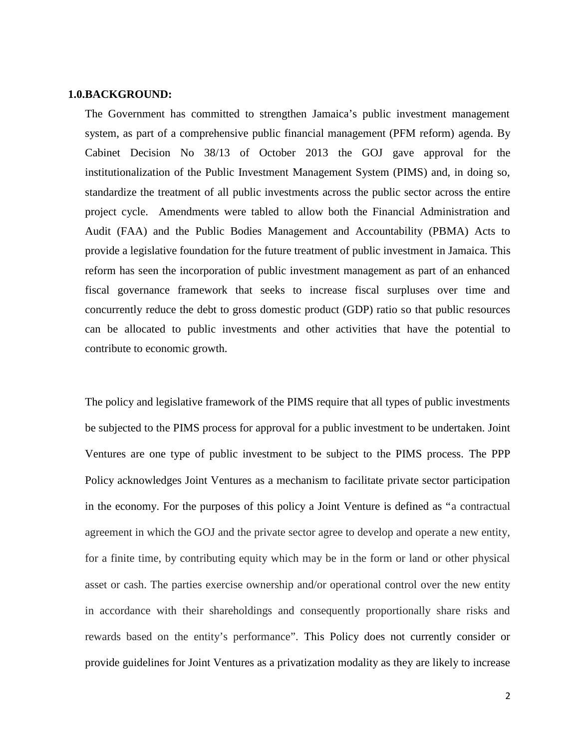#### **1.0.BACKGROUND:**

The Government has committed to strengthen Jamaica's public investment management system, as part of a comprehensive public financial management (PFM reform) agenda. By Cabinet Decision No 38/13 of October 2013 the GOJ gave approval for the institutionalization of the Public Investment Management System (PIMS) and, in doing so, standardize the treatment of all public investments across the public sector across the entire project cycle. Amendments were tabled to allow both the Financial Administration and Audit (FAA) and the Public Bodies Management and Accountability (PBMA) Acts to provide a legislative foundation for the future treatment of public investment in Jamaica. This reform has seen the incorporation of public investment management as part of an enhanced fiscal governance framework that seeks to increase fiscal surpluses over time and concurrently reduce the debt to gross domestic product (GDP) ratio so that public resources can be allocated to public investments and other activities that have the potential to contribute to economic growth.

The policy and legislative framework of the PIMS require that all types of public investments be subjected to the PIMS process for approval for a public investment to be undertaken. Joint Ventures are one type of public investment to be subject to the PIMS process. The PPP Policy acknowledges Joint Ventures as a mechanism to facilitate private sector participation in the economy. For the purposes of this policy a Joint Venture is defined as "a contractual agreement in which the GOJ and the private sector agree to develop and operate a new entity, for a finite time, by contributing equity which may be in the form or land or other physical asset or cash. The parties exercise ownership and/or operational control over the new entity in accordance with their shareholdings and consequently proportionally share risks and rewards based on the entity's performance". This Policy does not currently consider or provide guidelines for Joint Ventures as a privatization modality as they are likely to increase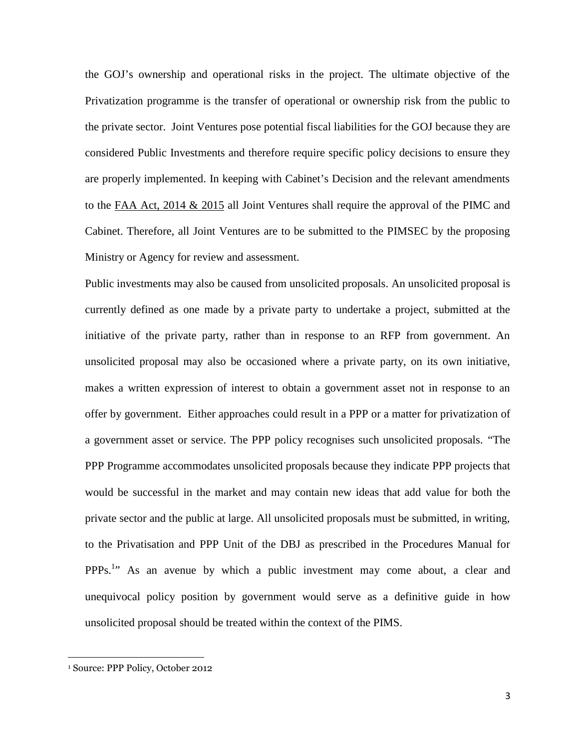the GOJ's ownership and operational risks in the project. The ultimate objective of the Privatization programme is the transfer of operational or ownership risk from the public to the private sector. Joint Ventures pose potential fiscal liabilities for the GOJ because they are considered Public Investments and therefore require specific policy decisions to ensure they are properly implemented. In keeping with Cabinet's Decision and the relevant amendments to the FAA Act, 2014 & 2015 all Joint Ventures shall require the approval of the PIMC and Cabinet. Therefore, all Joint Ventures are to be submitted to the PIMSEC by the proposing Ministry or Agency for review and assessment.

Public investments may also be caused from unsolicited proposals. An unsolicited proposal is currently defined as one made by a private party to undertake a project, submitted at the initiative of the private party, rather than in response to an RFP from government. An unsolicited proposal may also be occasioned where a private party, on its own initiative, makes a written expression of interest to obtain a government asset not in response to an offer by government. Either approaches could result in a PPP or a matter for privatization of a government asset or service. The PPP policy recognises such unsolicited proposals. "The PPP Programme accommodates unsolicited proposals because they indicate PPP projects that would be successful in the market and may contain new ideas that add value for both the private sector and the public at large. All unsolicited proposals must be submitted, in writing, to the Privatisation and PPP Unit of the DBJ as prescribed in the Procedures Manual for PPPs.<sup>1</sup> As an avenue by which a public investment may come about, a clear and unequivocal policy position by government would serve as a definitive guide in how unsolicited proposal should be treated within the context of the PIMS.

<sup>1</sup> Source: PPP Policy, October 2012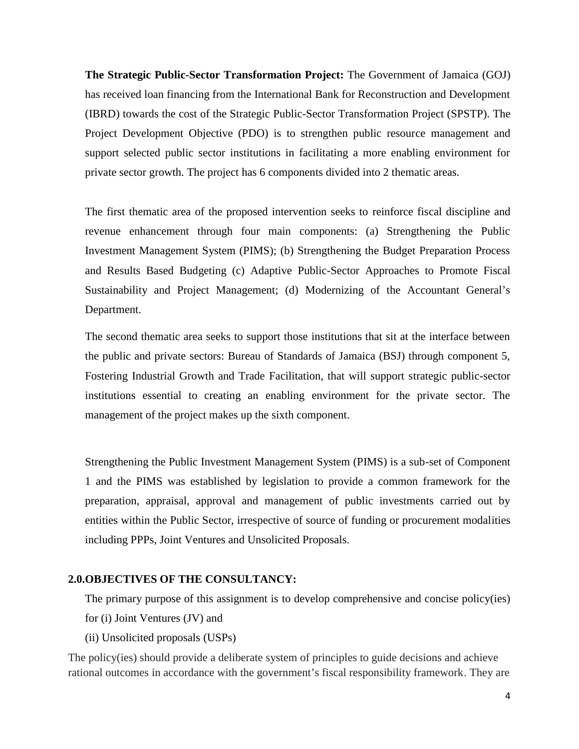**The Strategic Public-Sector Transformation Project:** The Government of Jamaica (GOJ) has received loan financing from the International Bank for Reconstruction and Development (IBRD) towards the cost of the Strategic Public-Sector Transformation Project (SPSTP). The Project Development Objective (PDO) is to strengthen public resource management and support selected public sector institutions in facilitating a more enabling environment for private sector growth. The project has 6 components divided into 2 thematic areas.

The first thematic area of the proposed intervention seeks to reinforce fiscal discipline and revenue enhancement through four main components: (a) Strengthening the Public Investment Management System (PIMS); (b) Strengthening the Budget Preparation Process and Results Based Budgeting (c) Adaptive Public-Sector Approaches to Promote Fiscal Sustainability and Project Management; (d) Modernizing of the Accountant General's Department.

The second thematic area seeks to support those institutions that sit at the interface between the public and private sectors: Bureau of Standards of Jamaica (BSJ) through component 5, Fostering Industrial Growth and Trade Facilitation, that will support strategic public-sector institutions essential to creating an enabling environment for the private sector. The management of the project makes up the sixth component.

Strengthening the Public Investment Management System (PIMS) is a sub-set of Component 1 and the PIMS was established by legislation to provide a common framework for the preparation, appraisal, approval and management of public investments carried out by entities within the Public Sector, irrespective of source of funding or procurement modalities including PPPs, Joint Ventures and Unsolicited Proposals.

### **2.0.OBJECTIVES OF THE CONSULTANCY:**

The primary purpose of this assignment is to develop comprehensive and concise policy(ies) for (i) Joint Ventures (JV) and

(ii) Unsolicited proposals (USPs)

The policy(ies) should provide a deliberate system of principles to guide decisions and achieve rational outcomes in accordance with the government's fiscal responsibility framework. They are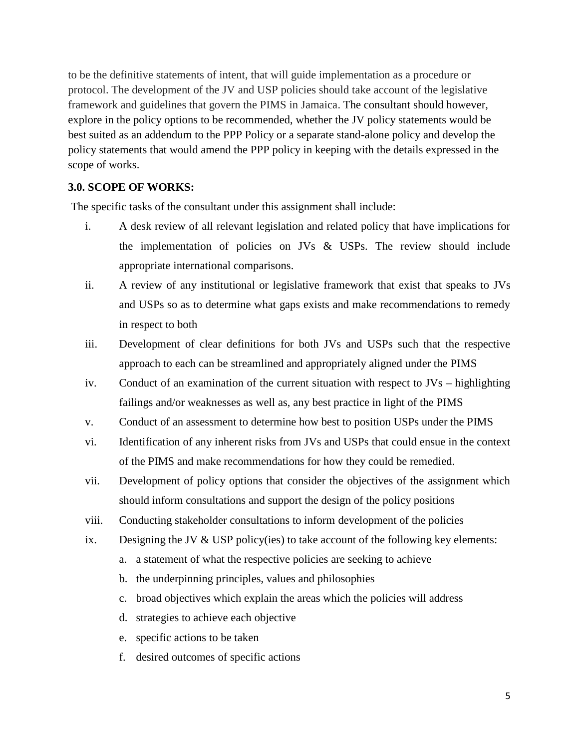to be the definitive statements of intent, that will guide implementation as a procedure or protocol. The development of the JV and USP policies should take account of the legislative framework and guidelines that govern the PIMS in Jamaica. The consultant should however, explore in the policy options to be recommended, whether the JV policy statements would be best suited as an addendum to the PPP Policy or a separate stand-alone policy and develop the policy statements that would amend the PPP policy in keeping with the details expressed in the scope of works.

## **3.0. SCOPE OF WORKS:**

The specific tasks of the consultant under this assignment shall include:

- i. A desk review of all relevant legislation and related policy that have implications for the implementation of policies on JVs & USPs. The review should include appropriate international comparisons.
- ii. A review of any institutional or legislative framework that exist that speaks to JVs and USPs so as to determine what gaps exists and make recommendations to remedy in respect to both
- iii. Development of clear definitions for both JVs and USPs such that the respective approach to each can be streamlined and appropriately aligned under the PIMS
- iv. Conduct of an examination of the current situation with respect to JVs highlighting failings and/or weaknesses as well as, any best practice in light of the PIMS
- v. Conduct of an assessment to determine how best to position USPs under the PIMS
- vi. Identification of any inherent risks from JVs and USPs that could ensue in the context of the PIMS and make recommendations for how they could be remedied.
- vii. Development of policy options that consider the objectives of the assignment which should inform consultations and support the design of the policy positions
- viii. Conducting stakeholder consultations to inform development of the policies
- ix. Designing the JV  $&$  USP policy(ies) to take account of the following key elements:
	- a. a statement of what the respective policies are seeking to achieve
	- b. the underpinning principles, values and philosophies
	- c. broad objectives which explain the areas which the policies will address
	- d. strategies to achieve each objective
	- e. specific actions to be taken
	- f. desired outcomes of specific actions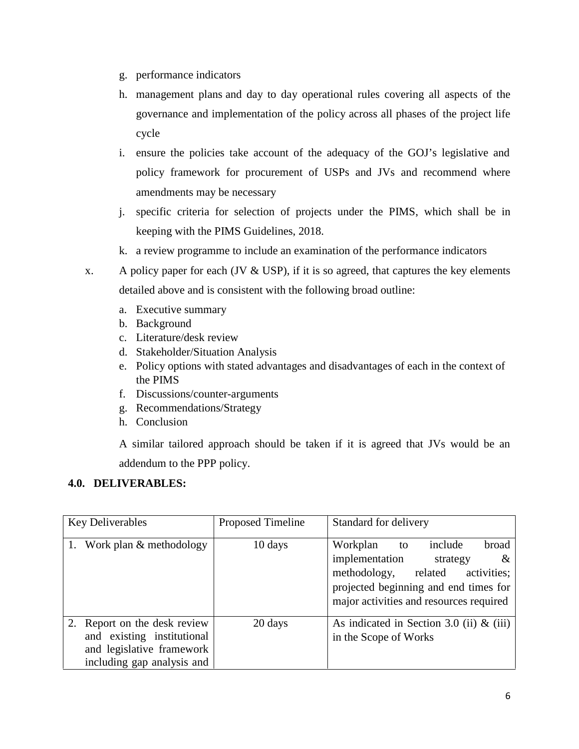- g. performance indicators
- h. management plans and day to day operational rules covering all aspects of the governance and implementation of the policy across all phases of the project life cycle
- i. ensure the policies take account of the adequacy of the GOJ's legislative and policy framework for procurement of USPs and JVs and recommend where amendments may be necessary
- j. specific criteria for selection of projects under the PIMS, which shall be in keeping with the PIMS Guidelines, 2018.
- k. a review programme to include an examination of the performance indicators
- x. A policy paper for each (JV  $&$  USP), if it is so agreed, that captures the key elements detailed above and is consistent with the following broad outline:
	- a. Executive summary
	- b. Background
	- c. Literature/desk review
	- d. Stakeholder/Situation Analysis
	- e. Policy options with stated advantages and disadvantages of each in the context of the PIMS
	- f. Discussions/counter-arguments
	- g. Recommendations/Strategy
	- h. Conclusion

A similar tailored approach should be taken if it is agreed that JVs would be an addendum to the PPP policy.

## **4.0. DELIVERABLES:**

| <b>Key Deliverables</b>                                                                                               | <b>Proposed Timeline</b> | Standard for delivery                                                                                                                                                                               |
|-----------------------------------------------------------------------------------------------------------------------|--------------------------|-----------------------------------------------------------------------------------------------------------------------------------------------------------------------------------------------------|
| Work plan & methodology<br>1.                                                                                         | 10 days                  | Workplan<br>include<br>broad<br>to<br>implementation<br>strategy<br>&<br>related<br>methodology,<br>activities;<br>projected beginning and end times for<br>major activities and resources required |
| 2. Report on the desk review<br>and existing institutional<br>and legislative framework<br>including gap analysis and | 20 days                  | As indicated in Section 3.0 (ii) $\&$ (iii)<br>in the Scope of Works                                                                                                                                |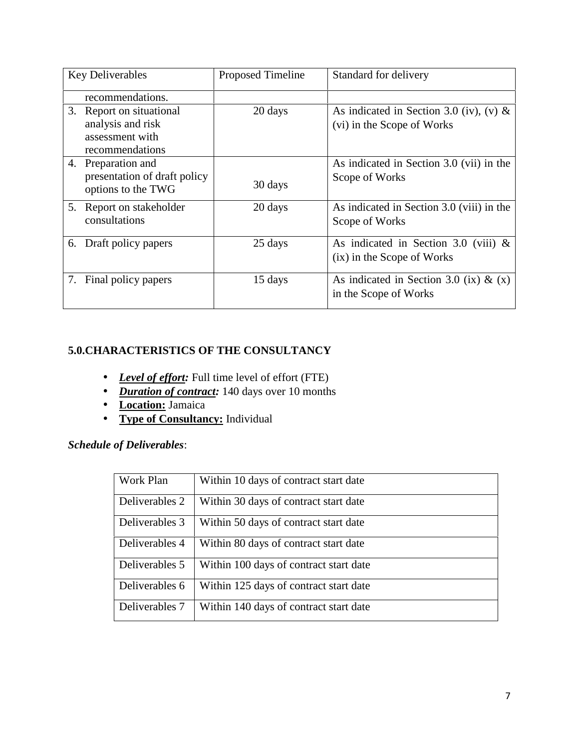| <b>Key Deliverables</b>                                                                | Proposed Timeline | Standard for delivery                                                 |
|----------------------------------------------------------------------------------------|-------------------|-----------------------------------------------------------------------|
| recommendations.                                                                       |                   |                                                                       |
| 3.<br>Report on situational<br>analysis and risk<br>assessment with<br>recommendations | 20 days           | As indicated in Section 3.0 (iv), (v) &<br>(vi) in the Scope of Works |
| 4. Preparation and<br>presentation of draft policy<br>options to the TWG               | 30 days           | As indicated in Section 3.0 (vii) in the<br>Scope of Works            |
| 5. Report on stakeholder<br>consultations                                              | 20 days           | As indicated in Section 3.0 (viii) in the<br>Scope of Works           |
| Draft policy papers<br>6.                                                              | 25 days           | As indicated in Section 3.0 (viii) $\&$<br>(ix) in the Scope of Works |
| Final policy papers<br>7.                                                              | 15 days           | As indicated in Section 3.0 (ix) & $(x)$<br>in the Scope of Works     |

## **5.0.CHARACTERISTICS OF THE CONSULTANCY**

- *Level of effort:* Full time level of effort (FTE)
- *Duration of contract:* 140 days over 10 months
- **Location:** Jamaica
- **Type of Consultancy:** Individual

## *Schedule of Deliverables*:

| Work Plan      | Within 10 days of contract start date  |
|----------------|----------------------------------------|
| Deliverables 2 | Within 30 days of contract start date  |
| Deliverables 3 | Within 50 days of contract start date  |
| Deliverables 4 | Within 80 days of contract start date  |
| Deliverables 5 | Within 100 days of contract start date |
| Deliverables 6 | Within 125 days of contract start date |
| Deliverables 7 | Within 140 days of contract start date |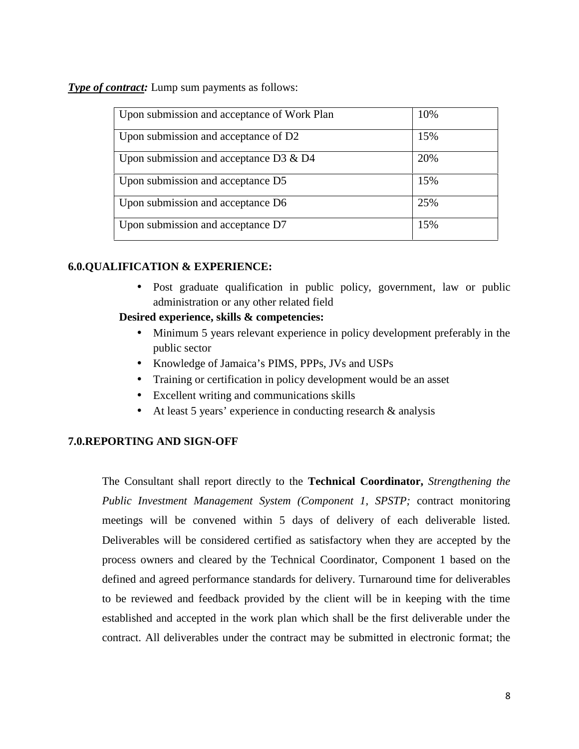**Type of contract:** Lump sum payments as follows:

| Upon submission and acceptance of Work Plan | 10% |
|---------------------------------------------|-----|
| Upon submission and acceptance of D2        | 15% |
| Upon submission and acceptance D3 $\&$ D4   | 20% |
| Upon submission and acceptance D5           | 15% |
| Upon submission and acceptance D6           | 25% |
| Upon submission and acceptance D7           | 15% |

## **6.0.QUALIFICATION & EXPERIENCE:**

 Post graduate qualification in public policy, government, law or public administration or any other related field

## **Desired experience, skills & competencies:**

- Minimum 5 years relevant experience in policy development preferably in the public sector
- Knowledge of Jamaica's PIMS, PPPs, JVs and USPs
- Training or certification in policy development would be an asset
- Excellent writing and communications skills
- At least 5 years' experience in conducting research & analysis

## **7.0.REPORTING AND SIGN-OFF**

The Consultant shall report directly to the **Technical Coordinator,** *Strengthening the Public Investment Management System (Component 1, SPSTP;* contract monitoring meetings will be convened within 5 days of delivery of each deliverable listed*.* Deliverables will be considered certified as satisfactory when they are accepted by the process owners and cleared by the Technical Coordinator, Component 1 based on the defined and agreed performance standards for delivery. Turnaround time for deliverables to be reviewed and feedback provided by the client will be in keeping with the time established and accepted in the work plan which shall be the first deliverable under the contract. All deliverables under the contract may be submitted in electronic format; the